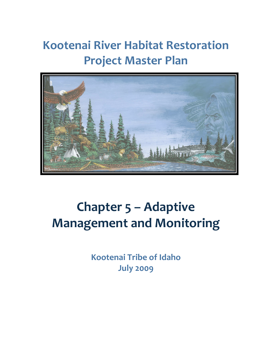# **Kootenai River Habitat Restoration Project Master Plan**



# **Chapter 5 – Adaptive Management and Monitoring**

**Kootenai Tribe of Idaho July 2009**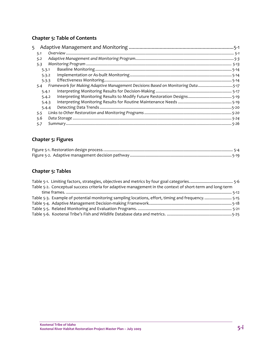#### **Chapter 5: Table of Contents**

| 5   |       |                                                                                 |  |
|-----|-------|---------------------------------------------------------------------------------|--|
| 5.1 |       |                                                                                 |  |
| 5.2 |       |                                                                                 |  |
| 5.3 |       |                                                                                 |  |
|     | 5.3.1 |                                                                                 |  |
|     | 5.3.2 |                                                                                 |  |
|     | 5.3.3 |                                                                                 |  |
|     | 5.4   | Framework for Making Adaptive Management Decisions Based on Monitoring Data5-17 |  |
|     | 5.4.1 |                                                                                 |  |
|     | 5.4.2 |                                                                                 |  |
|     | 5.4.3 |                                                                                 |  |
|     | 5.4.4 |                                                                                 |  |
|     | 5.5   |                                                                                 |  |
|     | 5.6   |                                                                                 |  |
| 5.7 |       |                                                                                 |  |

#### **Chapter 5: Figures**

#### **Chapter 5: Tables**

| Table 5-2. Conceptual success criteria for adaptive management in the context of short-term and long-term |  |
|-----------------------------------------------------------------------------------------------------------|--|
|                                                                                                           |  |
| Table 5-3. Example of potential monitoring sampling locations, effort, timing and frequency5-15           |  |
|                                                                                                           |  |
|                                                                                                           |  |
|                                                                                                           |  |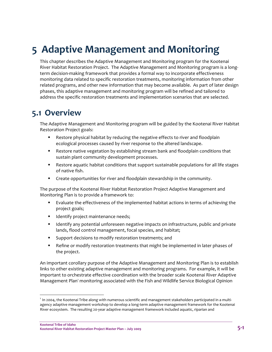## **5 Adaptive Management and Monitoring**

This chapter describes the Adaptive Management and Monitoring program for the Kootenai River Habitat Restoration Project. The Adaptive Management and Monitoring program is a long‐ term decision‐making framework that provides a formal way to incorporate effectiveness monitoring data related to specific restoration treatments, monitoring information from other related programs, and other new information that may become available. As part of later design phases, this adaptive management and monitoring program will be refined and tailored to address the specific restoration treatments and implementation scenarios that are selected.

### **5.1 Overview**

The Adaptive Management and Monitoring program will be guided by the Kootenai River Habitat Restoration Project goals:

- Restore physical habitat by reducing the negative effects to river and floodplain ecological processes caused by river response to the altered landscape.
- Restore native vegetation by establishing stream bank and floodplain conditions that sustain plant community development processes.
- Restore aquatic habitat conditions that support sustainable populations for all life stages of native fish.
- **EXP** Create opportunities for river and floodplain stewardship in the community.

The purpose of the Kootenai River Habitat Restoration Project Adaptive Management and Monitoring Plan is to provide a framework to:

- Evaluate the effectiveness of the implemented habitat actions in terms of achieving the project goals;
- **IDENTIFY PROJECT MAINTER IS NOTEN FIG.**
- Identify any potential unforeseen negative impacts on infrastructure, public and private lands, flood control management, focal species, and habitat;
- **Support decisions to modify restoration treatments; and**
- **Parager 1** Refine or modify restoration treatments that might be implemented in later phases of the project.

An important corollary purpose of the Adaptive Management and Monitoring Plan is to establish links to other existing adaptive management and monitoring programs. For example, it will be important to orchestrate effective coordination with the broader scale Kootenai River Adaptive Management Plan<sup>1</sup> monitoring associated with the Fish and Wildlife Service Biological Opinion

<sup>&</sup>lt;sup>1</sup> In 2004, the Kootenai Tribe along with numerous scientific and management stakeholders participated in a multiagency adaptive management workshop to develop a long‐term adaptive management framework for the Kootenai River ecosystem. The resulting 20‐year adaptive management framework included aquatic, riparian and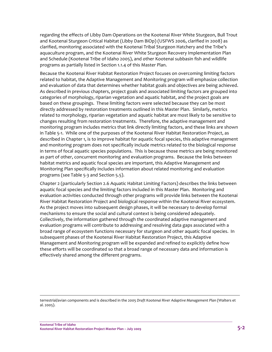regarding the effects of Libby Dam Operations on the Kootenai River White Sturgeon, Bull Trout and Kootenai Sturgeon Critical Habitat (Libby Dam BiOp) (USFWS 2006, clarified in 2008) as clarified, monitoring associated with the Kootenai Tribal Sturgeon Hatchery and the Tribe's aquaculture program, and the Kootenai River White Sturgeon Recovery Implementation Plan and Schedule (Kootenai Tribe of Idaho 2005), and other Kootenai subbasin fish and wildlife programs as partially listed in Section 1.1.4 of this Master Plan.

Because the Kootenai River Habitat Restoration Project focuses on overcoming limiting factors related to habitat, the Adaptive Management and Monitoring program will emphasize collection and evaluation of data that determines whether habitat goals and objectives are being achieved. As described in previous chapters, project goals and associated limiting factors are grouped into categories of morphology, riparian vegetation and aquatic habitat, and the project goals are based on these groupings. These limiting factors were selected because they can be most directly addressed by restoration treatments outlined in this Master Plan. Similarly, metrics related to morphology, riparian vegetation and aquatic habitat are most likely to be sensitive to changes resulting from restoration treatments. Therefore, the adaptive management and monitoring program includes metrics that link directly limiting factors, and these links are shown in Table 5‐1. While one of the purposes of the Kootenai River Habitat Restoration Project, as described in Chapter 1, is to improve habitat for aquatic focal species, this adaptive management and monitoring program does not specifically include metrics related to the biological response in terms of focal aquatic species populations. This is because those metrics are being monitored as part of other, concurrent monitoring and evaluation programs. Because the links between habitat metrics and aquatic focal species are important, this Adaptive Management and Monitoring Plan specifically includes information about related monitoring and evaluation programs (see Table 5‐3 and Section 5.5).

Chapter 2 (particularly Section 2.6 Aquatic Habitat Limiting Factors) describes the links between aquatic focal species and the limiting factors included in this Master Plan. Monitoring and evaluation activities conducted through other programs will provide links between the Kootenai River Habitat Restoration Project and biological response within the Kootenai River ecosystem. As the project moves into subsequent design phases, it will be necessary to develop formal mechanisms to ensure the social and cultural context is being considered adequately. Collectively, the information gathered through the coordinated adaptive management and evaluation programs will contribute to addressing and resolving data gaps associated with a broad range of ecosystem functions necessary for sturgeon and other aquatic focal species. In subsequent phases of the Kootenai River Habitat Restoration Project, this Adaptive Management and Monitoring program will be expanded and refined to explicitly define how these efforts will be coordinated so that a broad range of necessary data and information is effectively shared among the different programs.

<sup>&</sup>lt;u> 1989 - Andrea Santa Andrea Andrea Andrea Andrea Andrea Andrea Andrea Andrea Andrea Andrea Andrea Andrea Andr</u> terrestrial/avian components and is described in the 2005 *Draft Kootenai River Adaptive Management Plan* (Walters et al. 2005).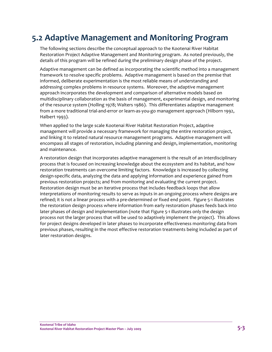## **5.2 Adaptive Management and Monitoring Program**

The following sections describe the conceptual approach to the Kootenai River Habitat Restoration Project Adaptive Management and Monitoring program. As noted previously, the details of this program will be refined during the preliminary design phase of the project.

Adaptive management can be defined as incorporating the scientific method into a management framework to resolve specific problems. Adaptive management is based on the premise that informed, deliberate experimentation is the most reliable means of understanding and addressing complex problems in resource systems. Moreover, the adaptive management approach incorporates the development and comparison of alternative models based on multidisciplinary collaboration as the basis of management, experimental design, and monitoring of the resource system (Holling 1978; Walters 1986). This differentiates adaptive management from a more traditional trial‐and‐error or learn‐as‐you‐go management approach (Hilborn 1992, Halbert 1993).

When applied to the large scale Kootenai River Habitat Restoration Project, adaptive management will provide a necessary framework for managing the entire restoration project, and linking it to related natural resource management programs. Adaptive management will encompass all stages of restoration, including planning and design, implementation, monitoring and maintenance.

A restoration design that incorporates adaptive management is the result of an interdisciplinary process that is focused on increasing knowledge about the ecosystem and its habitat, and how restoration treatments can overcome limiting factors. Knowledge is increased by collecting design‐specific data, analyzing the data and applying information and experience gained from previous restoration projects; and from monitoring and evaluating the current project. Restoration design must be an iterative process that includes feedback loops that allow interpretations of monitoring results to serve as inputs in an ongoing process where designs are refined; it is not a linear process with a pre‐determined or fixed end point. Figure 5‐1 illustrates the restoration design process where information from early restoration phases feeds back into later phases of design and implementation (note that Figure 5-1 illustrates only the design process not the larger process that will be used to adaptively implement the project). This allows for project designs developed in later phases to incorporate effectiveness monitoring data from previous phases, resulting in the most effective restoration treatments being included as part of later restoration designs.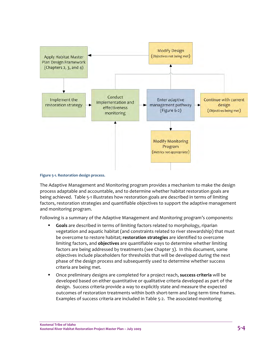

#### **Figure 5‐1. Restoration design process.**

The Adaptive Management and Monitoring program provides a mechanism to make the design process adaptable and accountable, and to determine whether habitat restoration goals are being achieved. Table 5‐1 illustrates how restoration goals are described in terms of limiting factors, restoration strategies and quantifiable objectives to support the adaptive management and monitoring program.

Following is a summary of the Adaptive Management and Monitoring program's components:

- **Goals** are described in terms of limiting factors related to morphology, riparian vegetation and aquatic habitat (and constraints related to river stewardship) that must be overcome to restore habitat; **restoration strategies** are identified to overcome limiting factors, and **objectives** are quantifiable ways to determine whether limiting factors are being addressed by treatments (see Chapter 3). In this document, some objectives include placeholders for thresholds that will be developed during the next phase of the design process and subsequently used to determine whether success criteria are being met.
- Once preliminary designs are completed for a project reach, **success criteria** will be developed based on either quantitative or qualitative criteria developed as part of the design. Success criteria provide a way to explicitly state and measure the expected outcomes of restoration treatments within both short-term and long-term time frames. Examples of success criteria are included in Table 5‐2. The associated monitoring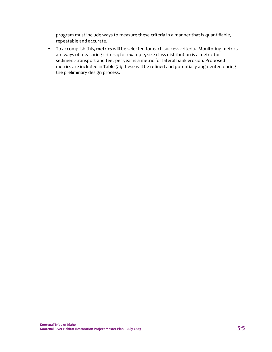program must include ways to measure these criteria in a manner that is quantifiable, repeatable and accurate.

 To accomplish this, **metrics** will be selected for each success criteria. Monitoring metrics are ways of measuring criteria; for example, size class distribution is a metric for sediment-transport and feet per year is a metric for lateral bank erosion. Proposed metrics are included in Table 5‐1; these will be refined and potentially augmented during the preliminary design process.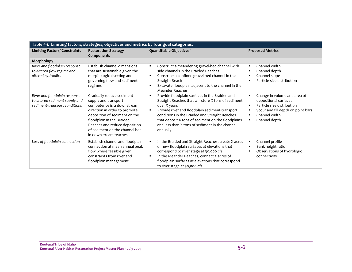| Table 5-1. Limiting factors, strategies, objectives and metrics by four goal categories.         |                                                                                                                                                                                                                                                                            |                                                                                                                                                                                                                                                                                                                                                                   |                                                                                                                                                                                                                |  |  |
|--------------------------------------------------------------------------------------------------|----------------------------------------------------------------------------------------------------------------------------------------------------------------------------------------------------------------------------------------------------------------------------|-------------------------------------------------------------------------------------------------------------------------------------------------------------------------------------------------------------------------------------------------------------------------------------------------------------------------------------------------------------------|----------------------------------------------------------------------------------------------------------------------------------------------------------------------------------------------------------------|--|--|
| <b>Limiting Factors/ Constraints</b>                                                             | <b>Restoration Strategy</b><br>Components                                                                                                                                                                                                                                  | Quantifiable Objectives <sup>1</sup>                                                                                                                                                                                                                                                                                                                              | <b>Proposed Metrics</b>                                                                                                                                                                                        |  |  |
| Morphology                                                                                       |                                                                                                                                                                                                                                                                            |                                                                                                                                                                                                                                                                                                                                                                   |                                                                                                                                                                                                                |  |  |
| River and floodplain response<br>to altered flow regime and<br>altered hydraulics                | Establish channel dimensions<br>that are sustainable given the<br>morphological setting and<br>governing flow and sediment<br>regimes                                                                                                                                      | Construct a meandering gravel-bed channel with<br>٠<br>side channels in the Braided Reaches<br>Construct a confined gravel-bed channel in the<br>$\blacksquare$<br>Straight Reach<br>Excavate floodplain adjacent to the channel in the<br><b>Meander Reaches</b>                                                                                                 | Channel width<br>$\blacksquare$<br>Channel depth<br>٠<br>Channel slope<br>$\blacksquare$<br>Particle-size distribution<br>$\blacksquare$                                                                       |  |  |
| River and floodplain response<br>to altered sediment supply and<br>sediment-transport conditions | Gradually reduce sediment<br>supply and transport<br>competence in a downstream<br>direction in order to promote<br>deposition of sediment on the<br>floodplain in the Braided<br>Reaches and reduce deposition<br>of sediment on the channel bed<br>in downstream reaches | Provide floodplain surfaces in the Braided and<br>$\blacksquare$<br>Straight Reaches that will store X tons of sediment<br>over X years<br>Provide river and floodplain sediment-transport<br>conditions in the Braided and Straight Reaches<br>that deposit X tons of sediment on the floodplains<br>and less than X tons of sediment in the channel<br>annually | Change in volume and area of<br>$\blacksquare$<br>depositional surfaces<br>Particle size distribution<br>$\blacksquare$<br>Scour and fill depth on point bars<br>٠<br>Channel width<br>٠<br>Channel depth<br>٠ |  |  |
| Loss of floodplain connection                                                                    | Establish channel and floodplain<br>connection at mean annual peak<br>flow where feasible given<br>constraints from river and<br>floodplain management                                                                                                                     | In the Braided and Straight Reaches, create X acres<br>of new floodplain surfaces at elevations that<br>correspond to river stage at 30,000 cfs<br>In the Meander Reaches, connect X acres of<br>$\blacksquare$<br>floodplain surfaces at elevations that correspond<br>to river stage at 30,000 cfs                                                              | Channel profile<br>$\blacksquare$<br>Bank height ratio<br>$\blacksquare$<br>Observations of hydrologic<br>٠<br>connectivity                                                                                    |  |  |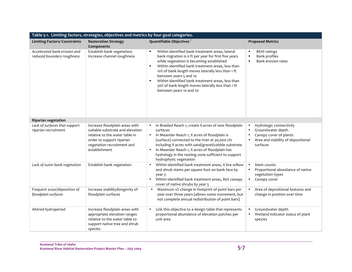| Table 5-1. Limiting factors, strategies, objectives and metrics by four goal categories. |                                                                                                                                                                                  |                                                                                                                                                                                                                                                                                                                                                                                                                                                                        |                                                                                                                                                    |  |
|------------------------------------------------------------------------------------------|----------------------------------------------------------------------------------------------------------------------------------------------------------------------------------|------------------------------------------------------------------------------------------------------------------------------------------------------------------------------------------------------------------------------------------------------------------------------------------------------------------------------------------------------------------------------------------------------------------------------------------------------------------------|----------------------------------------------------------------------------------------------------------------------------------------------------|--|
| <b>Limiting Factors/ Constraints</b>                                                     | <b>Restoration Strategy</b><br>Components                                                                                                                                        | Quantifiable Objectives <sup>1</sup>                                                                                                                                                                                                                                                                                                                                                                                                                                   | <b>Proposed Metrics</b>                                                                                                                            |  |
| Accelerated bank erosion and<br>reduced boundary roughness                               | Establish bank vegetation;<br>increase channel roughness                                                                                                                         | Within identified bank treatment areas, lateral<br>٠.<br>bank migration is o ft per year for first five years<br>while vegetation is becoming established<br>Within identified bank treatment areas, less than<br>$\blacksquare$<br>10% of bank length moves laterally less than 1 ft<br>between years 5 and 10<br>Within identified bank treatment areas, less than<br>$\blacksquare$<br>30% of bank length moves laterally less than 1 ft<br>between years 10 and 20 | <b>BEHI</b> ratings<br>٠<br><b>Bank profiles</b><br>п<br>Bank erosion rates<br>٠                                                                   |  |
| <b>Riparian vegetation</b>                                                               |                                                                                                                                                                                  |                                                                                                                                                                                                                                                                                                                                                                                                                                                                        |                                                                                                                                                    |  |
| Lack of surfaces that support<br>riparian recruitment                                    | Increase floodplain areas with<br>suitable substrate and elevation<br>relative to the water table in<br>order to support riparian<br>vegetation recruitment and<br>establishment | In Braided Reach 1, create X acres of new floodplain<br>$\bullet$<br>surfaces<br>In Meander Reach 1, X acres of floodplain is<br>$\bullet$<br>(surface) connected to the river at 30,000 cfs<br>including X acres with sand/gravel/cobble substrate<br>In Meander Reach 1, X acres of floodplain has<br>$\bullet$<br>hydrology in the rooting zone sufficient to support<br>hydrophytic vegetation                                                                     | Hydrologic connectivity<br>$\bullet$<br>Groundwater depth<br>$\bullet$<br>Canopy cover of plants<br>Area and stability of depositional<br>surfaces |  |
| Lack of outer bank vegetation                                                            | Establish bank vegetation                                                                                                                                                        | Within identified bank treatment areas, X live willow<br>and shrub stems per square foot on bank face by<br>year 3<br>Within identified bank treatment areas, 80% canopy<br>$\bullet$<br>cover of native shrubs by year 5                                                                                                                                                                                                                                              | Stem counts<br>$\bullet$<br>Proportional abundance of native<br>$\bullet$<br>vegetation types<br>Canopy cover<br>$\bullet$                         |  |
| Frequent scour/deposition of<br>floodplain surfaces                                      | Increase stability/longevity of<br>floodplain surfaces                                                                                                                           | Maximum x% change in footprint of point bars per<br>$\bullet$<br>year over three years (allows some movement, but<br>not complete annual redistribution of point bars)                                                                                                                                                                                                                                                                                                 | Area of depositional features and<br>$\bullet$<br>change in position over time                                                                     |  |
| Altered hydroperiod                                                                      | Increase floodplain areas with<br>appropriate elevation ranges<br>relative to the water table to<br>support native tree and shrub<br>species                                     | Link this objective to a design table that represents<br>$\bullet$<br>proportional abundance of elevation patches per<br>unit area                                                                                                                                                                                                                                                                                                                                     | Groundwater depth<br>Wetland indicator status of plant<br>species                                                                                  |  |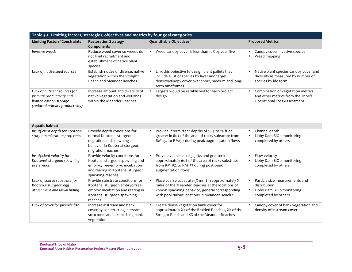| Table 5-1. Limiting factors, strategies, objectives and metrics by four goal categories.                             |                                                                                                                                                            |                                                                                                                                                                                                          |                                                                                                                              |  |  |
|----------------------------------------------------------------------------------------------------------------------|------------------------------------------------------------------------------------------------------------------------------------------------------------|----------------------------------------------------------------------------------------------------------------------------------------------------------------------------------------------------------|------------------------------------------------------------------------------------------------------------------------------|--|--|
| <b>Limiting Factors/ Constraints</b>                                                                                 | <b>Restoration Strategy</b><br>Components                                                                                                                  | Quantifiable Objectives <sup>1</sup>                                                                                                                                                                     | <b>Proposed Metrics</b>                                                                                                      |  |  |
| Invasive weeds                                                                                                       | Reduce weed cover so weeds do<br>not limit recruitment and<br>establishment of native plant<br>species                                                     | Weed canopy cover is less than 10% by year five<br>$\bullet$                                                                                                                                             | Canopy cover invasive species<br>Weed mapping                                                                                |  |  |
| Lack of native seed sources                                                                                          | Establish nodes of diverse, native<br>vegetation within the Straight<br><b>Reach and Meander Reaches</b>                                                   | Link this objective to design plant pallets that<br>include a list of species by layer and target<br>density/canopy cover over short, medium and long-<br>term timeframes                                | Native plant species canopy cover and<br>$\bullet$<br>diversity as measured by number of<br>species by life form             |  |  |
| Lack of nutrient sources for<br>primary productivity and<br>limited carbon storage<br>(reduced primary productivity) | Increase amount and diversity of<br>native vegetation and wetlands<br>within the Meander Reaches                                                           | Targets would be established for each project<br>design                                                                                                                                                  | Combination of vegetation metrics<br>$\bullet$<br>and other metrics from the Tribe's<br>Operational Loss Assessment          |  |  |
| <b>Aquatic habitat</b>                                                                                               |                                                                                                                                                            |                                                                                                                                                                                                          |                                                                                                                              |  |  |
| Insufficient depth for Kootenai<br>sturgeon migration preference                                                     | Provide depth conditions for<br>normal Kootenai sturgeon<br>migration and spawning<br>behavior in Kootenai sturgeon<br>migration reaches                   | Provide intermittent depths of 16.5 to 23 ft or<br>greater in 60% of the area of rocky substrate from<br>RM 152 to RM157 during peak augmentation flows                                                  | Channel depth<br>$\bullet$<br>Libby Dam BiOp monitoring<br>completed by others                                               |  |  |
| Insufficient velocity for<br>Kootenai sturgeon spawning<br>preference                                                | Provide velocity conditions for<br>Kootenai sturgeon spawning and<br>embryo/free-embryo incubation<br>and rearing in Kootenai sturgeon<br>spawning reaches | Provide velocities of 3.3 ft/s and greater in<br>approximately 60% of the area of rocky substrate<br>from RM 152 to RM157 during post-peak<br>augmentation flows                                         | Flow velocity<br>Libby Dam BiOp monitoring<br>completed by others                                                            |  |  |
| Lack of coarse substrate for<br>Kootenai sturgeon egg<br>attachment and larval hiding                                | Provide substrate conditions for<br>Kootenai sturgeon embryo/free-<br>embryo incubation and rearing in<br>Kootenai sturgeon spawning<br>reaches            | Place coarse substrate (X mm) in approximately X<br>miles of the Meander Reaches at the locations of<br>known spawning behavior, general corresponding<br>with pool tailout locations in Meander Reach 1 | Particle size measurements and<br>$\bullet$<br>distribution<br>Libby Dam BiOp monitoring<br>$\bullet$<br>completed by others |  |  |
| Lack of cover for juvenile fish                                                                                      | Increase instream and bank<br>cover by constructing instream<br>structures and establishing bank<br>vegetation                                             | Create dense vegetation bank cover for<br>approximately X% of the Braided Reaches, X% of the<br>Straight Reach and X% of the Meander Reaches                                                             | Canopy cover of bank vegetation and<br>$\bullet$<br>density of instream cover                                                |  |  |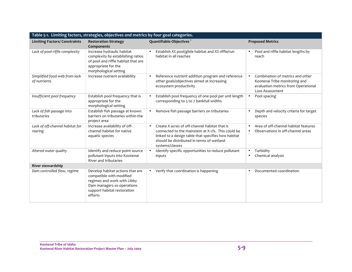| Table 5-1. Limiting factors, strategies, objectives and metrics by four goal categories. |                                                                                                                                                                     |                                                                                                                                                                                                                                        |                                                                                                                                          |  |  |
|------------------------------------------------------------------------------------------|---------------------------------------------------------------------------------------------------------------------------------------------------------------------|----------------------------------------------------------------------------------------------------------------------------------------------------------------------------------------------------------------------------------------|------------------------------------------------------------------------------------------------------------------------------------------|--|--|
| <b>Limiting Factors/ Constraints</b>                                                     | <b>Restoration Strategy</b><br>Components                                                                                                                           | Quantifiable Objectives <sup>1</sup>                                                                                                                                                                                                   | <b>Proposed Metrics</b>                                                                                                                  |  |  |
| Lack of pool-riffle complexity                                                           | Increase hydraulic habitat<br>complexity by establishing ratios<br>of pool and riffle habitat that are<br>appropriate for the<br>morphological setting              | Establish X% pool/glide habitat and X% riffle/run<br>habitat in all reaches                                                                                                                                                            | Pool and riffle habitat lengths by<br>٠<br>reach                                                                                         |  |  |
| Simplified food web from lack<br>of nutrients                                            | Increase nutrient availability                                                                                                                                      | Reference nutrient addition program and reference<br>other goals/objectives aimed at increasing<br>ecosystem productivity                                                                                                              | Combination of metrics and other<br>$\bullet$<br>Kootenai Tribe monitoring and<br>evaluation metrics from Operational<br>Loss Assessment |  |  |
| Insufficient pool frequency                                                              | Establish pool frequency that is<br>appropriate for the<br>morphological setting                                                                                    | Establish pool frequency of one pool per unit length<br>corresponding to 5 to 7 bankfull widths                                                                                                                                        | Pool spacing<br>$\bullet$                                                                                                                |  |  |
| Lack of fish passage into<br>tributaries                                                 | Establish fish passage at known<br>barriers on tributaries within the<br>project area                                                                               | Remove fish passage barriers on tributaries<br>$\bullet$                                                                                                                                                                               | Depth and velocity criteria for target<br>$\bullet$<br>species                                                                           |  |  |
| Lack of off-channel habitat for<br>rearing                                               | Increase availability of off-<br>channel habitat for native<br>aquatic species                                                                                      | Create X acres of off-channel habitat that is<br>$\bullet$<br>connected to the mainstem at X cfs. This could be<br>linked to a design table that specifies how habitat<br>should be distributed in terms of wetland<br>systems/classes | Area of off-channel habitat features<br>$\bullet$<br>Observations in off-channel areas<br>$\bullet$                                      |  |  |
| Altered water quality                                                                    | Identify and reduce point source<br>pollutant inputs into Kootenai<br>River and tributaries                                                                         | Identify specific opportunities to reduce pollutant<br>inputs                                                                                                                                                                          | Turbidity<br>$\bullet$<br>Chemical analysis<br>$\bullet$                                                                                 |  |  |
| River stewardship                                                                        |                                                                                                                                                                     |                                                                                                                                                                                                                                        |                                                                                                                                          |  |  |
| Dam controlled flow, regime                                                              | Develop habitat actions that are<br>compatible with modified<br>regimes and work with Libby<br>Dam managers so operations<br>support habitat restoration<br>efforts | Verify that coordination is happening<br>$\bullet$                                                                                                                                                                                     | Documented coordination<br>$\bullet$                                                                                                     |  |  |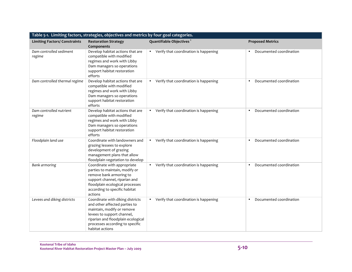| Table 5-1. Limiting factors, strategies, objectives and metrics by four goal categories. |                                                                                                                                                                                                                           |                                                    |                                      |  |  |
|------------------------------------------------------------------------------------------|---------------------------------------------------------------------------------------------------------------------------------------------------------------------------------------------------------------------------|----------------------------------------------------|--------------------------------------|--|--|
| <b>Limiting Factors/ Constraints</b>                                                     | <b>Restoration Strategy</b><br>Components                                                                                                                                                                                 | Quantifiable Objectives <sup>1</sup>               | <b>Proposed Metrics</b>              |  |  |
| Dam controlled sediment<br>regime                                                        | Develop habitat actions that are<br>compatible with modified<br>regimes and work with Libby<br>Dam managers so operations<br>support habitat restoration<br>efforts                                                       | • Verify that coordination is happening            | Documented coordination              |  |  |
| Dam controlled thermal regime                                                            | Develop habitat actions that are<br>compatible with modified<br>regimes and work with Libby<br>Dam managers so operations<br>support habitat restoration<br>efforts                                                       | • Verify that coordination is happening            | Documented coordination<br>$\bullet$ |  |  |
| Dam controlled nutrient<br>regime                                                        | Develop habitat actions that are<br>compatible with modified<br>regimes and work with Libby<br>Dam managers so operations<br>support habitat restoration<br>efforts                                                       | • Verify that coordination is happening            | Documented coordination<br>$\bullet$ |  |  |
| Floodplain land use                                                                      | Coordinate with landowners and<br>grazing lessees to explore<br>development of grazing<br>management plans that allow<br>floodplain vegetation to develop                                                                 | Verify that coordination is happening<br>$\bullet$ | Documented coordination              |  |  |
| Bank armoring                                                                            | Coordinate with appropriate<br>parties to maintain, modify or<br>remove bank armoring to<br>support channel, riparian and<br>floodplain ecological processes<br>according to specific habitat<br>actions                  | • Verify that coordination is happening            | Documented coordination              |  |  |
| Levees and diking districts                                                              | Coordinate with diking districts<br>and other affected parties to<br>maintain, modify or remove<br>levees to support channel,<br>riparian and floodplain ecological<br>processes according to specific<br>habitat actions | • Verify that coordination is happening            | Documented coordination              |  |  |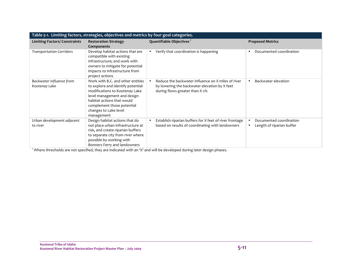| Table 5-1. Limiting factors, strategies, objectives and metrics by four goal categories. |                                                                                                                                                                                                                                            |                                                                                                                                        |                                                      |  |  |
|------------------------------------------------------------------------------------------|--------------------------------------------------------------------------------------------------------------------------------------------------------------------------------------------------------------------------------------------|----------------------------------------------------------------------------------------------------------------------------------------|------------------------------------------------------|--|--|
| <b>Limiting Factors/ Constraints</b>                                                     | <b>Restoration Strategy</b><br>Components                                                                                                                                                                                                  | Quantifiable Objectives <sup>1</sup>                                                                                                   | <b>Proposed Metrics</b>                              |  |  |
| <b>Transportation Corridors</b>                                                          | Develop habitat actions that are<br>compatible with existing<br>infrastructure; and work with<br>owners to mitigate for potential<br>impacts to infrastructure from<br>project actions                                                     | Verify that coordination is happening                                                                                                  | Documented coordination                              |  |  |
| Backwater influence from<br>Kootenay Lake                                                | Work with B.C. and other entities<br>to explore and identify potential<br>modifications to Kootenay Lake<br>level management and design<br>habitat actions that would<br>complement those potential<br>changes to Lake level<br>management | Reduce the backwater influence on X miles of river<br>by lowering the backwater elevation by X feet<br>during flows greater than X cfs | Backwater elevation                                  |  |  |
| Urban development adjacent<br>to river                                                   | Design habitat actions that do<br>not place urban infrastructure at<br>risk, and create riparian buffers<br>to separate city from river where<br>possible by working with<br>Bonners Ferry and landowners                                  | Establish riparian buffers for X feet of river frontage<br>based on results of coordinating with landowners                            | Documented coordination<br>Length of riparian buffer |  |  |

1 Where thresholds are not specified, they are indicated with an 'X' and will be developed during later design phases.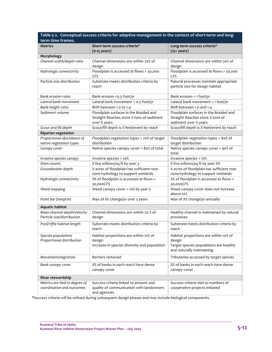| Table 5-2. Conceptual success criteria for adaptive management in the context of short-term and long- |                                                                                                     |                                                                                                                        |  |  |  |
|-------------------------------------------------------------------------------------------------------|-----------------------------------------------------------------------------------------------------|------------------------------------------------------------------------------------------------------------------------|--|--|--|
| term time frames.                                                                                     |                                                                                                     |                                                                                                                        |  |  |  |
| <b>Metrics</b>                                                                                        | Short-term success criteria*                                                                        | Long-term success criteria*                                                                                            |  |  |  |
|                                                                                                       | $(o-15$ years)                                                                                      | $(15+years)$                                                                                                           |  |  |  |
| Morphology                                                                                            |                                                                                                     |                                                                                                                        |  |  |  |
| Channel width/depth ratio                                                                             | Channel dimensions are within 20% of<br>design                                                      | Channel dimensions are within 20% of<br>design                                                                         |  |  |  |
| Hydrologic connectivity                                                                               | Floodplain is accessed at flows > 30,000<br>CFS                                                     | Floodplain is accessed at flows > 30,000<br>CFS                                                                        |  |  |  |
| Particle size distribution                                                                            | Substrate meets distribution criteria by<br>reach                                                   | Natural processes maintain appropriate<br>particle size for design habitat                                             |  |  |  |
| <b>Bank erosion rates</b>                                                                             | Bank erosion <0.5 foot/yr                                                                           | Bank erosion < 1 foot/yr                                                                                               |  |  |  |
| Lateral bank movement                                                                                 | Lateral bank movement < 0.5 foot/yr                                                                 | Lateral bank movement < 1 foot/yr                                                                                      |  |  |  |
| Bank height ratio                                                                                     | BHR between 1.0 to 1.4                                                                              | BHR between 1.0 and 1.4                                                                                                |  |  |  |
| Sediment volume                                                                                       | Floodplain surfaces in the Braided and<br>Straight Reaches store X tons of sediment<br>over X years | Floodplain surfaces in the Braided and<br>Straight Reaches store X tons of<br>sediment over X years                    |  |  |  |
| Scour and fill depth                                                                                  | Scour/fill depth is X feet/event by reach                                                           | Scour/fill depth is X feet/event by reach                                                                              |  |  |  |
| <b>Riparian vegetation</b>                                                                            |                                                                                                     |                                                                                                                        |  |  |  |
| Proportional abundance of                                                                             | Floodplain vegetation types > 70% of target                                                         | Floodplain vegetation types > 80% of                                                                                   |  |  |  |
| native vegetation types                                                                               | distribution                                                                                        | target distribution                                                                                                    |  |  |  |
| Canopy cover                                                                                          | Native species canopy cover > 80% of total                                                          | Native species canopy cover > 90% of<br>total                                                                          |  |  |  |
| Invasive species canopy                                                                               | Invasive species < 20%                                                                              | Invasive species < 10%                                                                                                 |  |  |  |
| Stem counts                                                                                           | X live willows/sq ft by year 3                                                                      | X live willows/sq ft by year XX                                                                                        |  |  |  |
| Groundwater depth                                                                                     | X acres of floodplain has sufficient root<br>zone hydrology to support wetlands                     | X acres of floodplain has sufficient root<br>zone hydrology to support wetlands                                        |  |  |  |
| Hydrologic connectivity                                                                               | X% of floodplain is accessed at flows ><br>30,000CFS                                                | X% of floodplain is accessed at flows ><br>30,000CFS                                                                   |  |  |  |
| Weed mapping                                                                                          | Weed canopy cover < 10% by year 5                                                                   | Weed canopy cover does not increase<br>above 10%                                                                       |  |  |  |
| Point bar footprint                                                                                   | Max of X% change/yr over 3 years                                                                    | Max of X% change/yr annually                                                                                           |  |  |  |
| Aquatic habitat                                                                                       |                                                                                                     |                                                                                                                        |  |  |  |
| Mean channel depth/velocity<br>Particle size/distribution                                             | Channel dimensions are within 20 % of<br>design                                                     | Healthy channel is maintained by natural<br>processes                                                                  |  |  |  |
| Pool/riffle habitat length                                                                            | Substrate meets distribution criteria by<br>reach                                                   | Substrate meets distribution criteria by<br>reach                                                                      |  |  |  |
| Species population/<br>Proportional distribution                                                      | Habitat proportions are within 10% of<br>design<br>Increase in species diversity and population     | Habitat proportions are within 10% of<br>design<br>Target species populations are healthy<br>and naturally maintaining |  |  |  |
| Movement/migration                                                                                    | Barriers removed                                                                                    | Tributaries accessed by target species                                                                                 |  |  |  |
| Bank canopy cover                                                                                     | X% of banks in each reach have dense<br>canopy cover                                                | X% of banks in each reach have dense<br>canopy cover                                                                   |  |  |  |
| River stewardship                                                                                     |                                                                                                     |                                                                                                                        |  |  |  |
| Metrics are tied to degree of<br>coordination and outcomes                                            | Success criteria linked to amount and<br>quality of communication with landowners<br>and agencies   | Success criteria tied to numbers of<br>cooperative projects initiated                                                  |  |  |  |

\*Success criteria will be refined during subsequent design phases and may include biological components.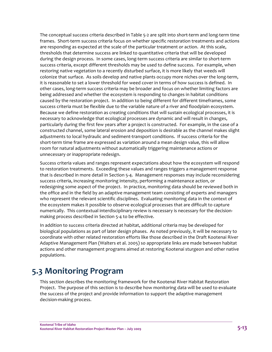The conceptual success criteria described in Table 5‐2 are split into short‐term and long‐term time frames. Short‐term success criteria focus on whether specific restoration treatments and actions are responding as expected at the scale of the particular treatment or action. At this scale, thresholds that determine success are linked to quantitative criteria that will be developed during the design process. In some cases, long-term success criteria are similar to short-term success criteria, except different thresholds may be used to define success. For example, when restoring native vegetation to a recently disturbed surface, it is more likely that weeds will colonize that surface. As soils develop and native plants occupy more niches over the long‐term, it is reasonable to set a lower threshold for weed cover in terms of how success is defined. In other cases, long-term success criteria may be broader and focus on whether limiting factors are being addressed and whether the ecosystem is responding to changes in habitat conditions caused by the restoration project. In addition to being different for different timeframes, some success criteria must be flexible due to the variable nature of a river and floodplain ecosystem. Because we define restoration as creating conditions that will sustain ecological processes, it is necessary to acknowledge that ecological processes are dynamic and will result in changes, particularly during the first few years after a project is constructed. For example, in the case of a constructed channel, some lateral erosion and deposition is desirable as the channel makes slight adjustments to local hydraulic and sediment‐transport conditions. If success criteria for the short-term time frame are expressed as variation around a mean design value, this will allow room for natural adjustments without automatically triggering maintenance actions or unnecessary or inappropriate redesign.

Success criteria values and ranges represent expectations about how the ecosystem will respond to restoration treatments. Exceeding these values and ranges triggers a management response that is described in more detail in Section 5‐4. Management responses may include reconsidering success criteria, increasing monitoring intensity, performing a maintenance action, or redesigning some aspect of the project. In practice, monitoring data should be reviewed both in the office and in the field by an adaptive management team consisting of experts and managers who represent the relevant scientific disciplines. Evaluating monitoring data in the context of the ecosystem makes it possible to observe ecological processes that are difficult to capture numerically. This contextual interdisciplinary review is necessary is necessary for the decision‐ making process described in Section 5‐4 to be effective.

In addition to success criteria directed at habitat, additional criteria may be developed for biological populations as part of later design phases. As noted previously, it will be necessary to coordinate with other related restoration efforts like those described in the Draft Kootenai River Adaptive Management Plan (Walters et al. 2005) so appropriate links are made between habitat actions and other management programs aimed at restoring Kootenai sturgeon and other native populations.

## **5.3 Monitoring Program**

This section describes the monitoring framework for the Kootenai River Habitat Restoration Project. The purpose of this section is to describe how monitoring data will be used to evaluate the success of the project and provide information to support the adaptive management decision‐making process.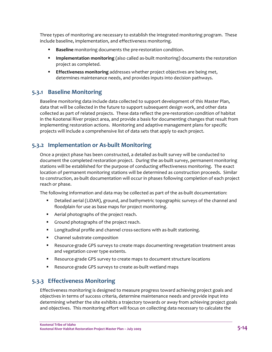Three types of monitoring are necessary to establish the integrated monitoring program. These include baseline, implementation, and effectiveness monitoring.

- **Baseline** monitoring documents the pre-restoration condition.
- **Implementation monitoring** (also called as-built monitoring) documents the restoration project as completed.
- **Effectiveness monitoring** addresses whether project objectives are being met, determines maintenance needs, and provides inputs into decision pathways.

#### **5.3.1 Baseline Monitoring**

Baseline monitoring data include data collected to support development of this Master Plan, data that will be collected in the future to support subsequent design work, and other data collected as part of related projects. These data reflect the pre‐restoration condition of habitat in the Kootenai River project area, and provide a basis for documenting changes that result from implementing restoration actions. Monitoring and adaptive management plans for specific projects will include a comprehensive list of data sets that apply to each project.

#### **5.3.2 Implementation or As‐built Monitoring**

Once a project phase has been constructed, a detailed as‐built survey will be conducted to document the completed restoration project. During the as-built survey, permanent monitoring stations will be established for the purpose of conducting effectiveness monitoring. The exact location of permanent monitoring stations will be determined as construction proceeds. Similar to construction, as‐built documentation will occur in phases following completion of each project reach or phase.

The following information and data may be collected as part of the as‐built documentation:

- Detailed aerial (LiDAR), ground, and bathymetric topographic surveys of the channel and floodplain for use as base maps for project monitoring.
- Aerial photographs of the project reach.
- Ground photographs of the project reach.
- Longitudinal profile and channel cross-sections with as-built stationing.
- **•** Channel substrate composition
- Resource-grade GPS surveys to create maps documenting revegetation treatment areas and vegetation cover type extents.
- Resource-grade GPS survey to create maps to document structure locations
- Resource-grade GPS surveys to create as-built wetland maps

#### **5.3.3 Effectiveness Monitoring**

Effectiveness monitoring is designed to measure progress toward achieving project goals and objectives in terms of success criteria, determine maintenance needs and provide input into determining whether the site exhibits a trajectory towards or away from achieving project goals and objectives. This monitoring effort will focus on collecting data necessary to calculate the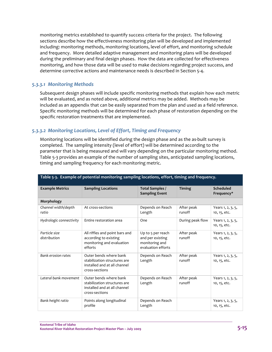monitoring metrics established to quantify success criteria for the project. The following sections describe how the effectiveness monitoring plan will be developed and implemented including: monitoring methods, monitoring locations, level of effort, and monitoring schedule and frequency. More detailed adaptive management and monitoring plans will be developed during the preliminary and final design phases. How the data are collected for effectiveness monitoring, and how those data will be used to make decisions regarding project success, and determine corrective actions and maintenance needs is described in Section 5‐4.

#### *5.3.3.1 Monitoring Methods*

Subsequent design phases will include specific monitoring methods that explain how each metric will be evaluated, and as noted above, additional metrics may be added. Methods may be included as an appendix that can be easily separated from the plan and used as a field reference. Specific monitoring methods will be determined for each phase of restoration depending on the specific restoration treatments that are implemented.

#### *5.3.3.2 Monitoring Locations, Level of Effort, Timing and Frequency*

Monitoring locations will be identified during the design phase and as the as‐built survey is completed. The sampling intensity (level of effort) will be determined according to the parameter that is being measured and will vary depending on the particular monitoring method. Table 5-3 provides an example of the number of sampling sites, anticipated sampling locations, timing and sampling frequency for each monitoring metric.

| <b>Example Metrics</b>        | <b>Sampling Locations</b>                                                                                | Total Samples /<br><b>Sampling Event</b>                                      | <b>Timing</b>        | Scheduled<br>Frequency*           |
|-------------------------------|----------------------------------------------------------------------------------------------------------|-------------------------------------------------------------------------------|----------------------|-----------------------------------|
| Morphology                    |                                                                                                          |                                                                               |                      |                                   |
| Channel width/depth<br>ratio  | At cross-sections                                                                                        | Depends on Reach<br>Length                                                    | After peak<br>runoff | Years 1, 2, 3, 5,<br>10, 15, etc. |
| Hydrologic connectivity       | Entire restoration area                                                                                  | One                                                                           | During peak flow     | Years 1, 2, 3, 5,<br>10, 15, etc. |
| Particle size<br>distribution | All riffles and point bars and<br>according to existing<br>monitoring and evaluation<br>efforts          | Up to 5 per reach<br>and per existing<br>monitoring and<br>evaluation efforts | After peak<br>runoff | Years 1, 2, 3, 5,<br>10, 15, etc. |
| Bank erosion rates            | Outer bends where bank<br>stabilization structures are<br>installed and at all channel<br>cross-sections | Depends on Reach<br>Length                                                    | After peak<br>runoff | Years 1, 2, 3, 5,<br>10, 15, etc. |
| Lateral bank movement         | Outer bends where bank<br>stabilization structures are<br>installed and at all channel<br>cross-sections | Depends on Reach<br>Length                                                    | After peak<br>runoff | Years 1, 2, 3, 5,<br>10, 15, etc. |
| Bank height ratio             | Points along longitudinal<br>profile                                                                     | Depends on Reach<br>Length                                                    |                      | Years 1, 2, 3, 5,<br>10, 15, etc. |

#### **Table 5‐3. Example of potential monitoring sampling locations, effort, timing and frequency.**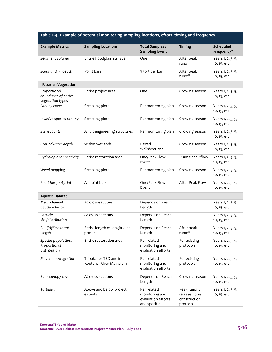**Table 5‐3. Example of potential monitoring sampling locations, effort, timing and frequency.** 

| <b>Example Metrics</b>                                  | <b>Sampling Locations</b>                         | Total Samples /<br><b>Sampling Event</b>                            | <b>Timing</b>                                              | <b>Scheduled</b><br>Frequency*    |
|---------------------------------------------------------|---------------------------------------------------|---------------------------------------------------------------------|------------------------------------------------------------|-----------------------------------|
| Sediment volume                                         | Entire floodplain surface                         | One                                                                 | After peak<br>runoff                                       | Years 1, 2, 3, 5,<br>10, 15, etc. |
| Scour and fill depth                                    | Point bars                                        | 3 to 5 per bar                                                      | After peak<br>runoff                                       | Years 1, 2, 3, 5,<br>10, 15, etc. |
| <b>Riparian Vegetation</b>                              |                                                   |                                                                     |                                                            |                                   |
| Proportional<br>abundance of native<br>vegetation types | Entire project area                               | One                                                                 | Growing season                                             | Years 1, 2, 3, 5,<br>10, 15, etc. |
| Canopy cover                                            | Sampling plots                                    | Per monitoring plan                                                 | Growing season                                             | Years 1, 2, 3, 5,<br>10, 15, etc. |
| Invasive species canopy                                 | Sampling plots                                    | Per monitoring plan                                                 | Growing season                                             | Years 1, 2, 3, 5,<br>10, 15, etc. |
| Stem counts                                             | All bioengineering structures                     | Per monitoring plan                                                 | Growing season                                             | Years 1, 2, 3, 5,<br>10, 15, etc. |
| Groundwater depth                                       | Within wetlands                                   | Paired<br>wells/wetland                                             | Growing season                                             | Years 1, 2, 3, 5,<br>10, 15, etc. |
| Hydrologic connectivity                                 | Entire restoration area                           | One/Peak Flow<br>Event                                              | During peak flow                                           | Years 1, 2, 3, 5,<br>10, 15, etc. |
| Weed mapping                                            | Sampling plots                                    | Per monitoring plan                                                 | Growing season                                             | Years 1, 2, 3, 5,<br>10, 15, etc. |
| Point bar footprint                                     | All point bars                                    | One/Peak Flow<br>Event                                              | After Peak Flow                                            | Years 1, 2, 3, 5,<br>10, 15, etc. |
| <b>Aquatic Habitat</b>                                  |                                                   |                                                                     |                                                            |                                   |
| Mean channel<br>depth/velocity                          | At cross-sections                                 | Depends on Reach<br>Length                                          |                                                            | Years 1, 2, 3, 5,<br>10, 15, etc. |
| Particle<br>size/distribution                           | At cross-sections                                 | Depends on Reach<br>Length                                          |                                                            | Years 1, 2, 3, 5,<br>10, 15, etc. |
| Pool/riffle habitat<br>length                           | Entire length of longitudinal<br>profile          | Depends on Reach<br>Length                                          | After peak<br>runoff                                       | Years 1, 2, 3, 5,<br>10, 15, etc. |
| Species population/<br>Proportional<br>distribution     | Entire restoration area                           | Per related<br>monitoring and<br>evaluation efforts                 | Per existing<br>protocols                                  | Years 1, 2, 3, 5,<br>10, 15, etc. |
| Movement/migration                                      | Tributaries TBD and in<br>Kootenai River Mainstem | Per related<br>monitoring and<br>evaluation efforts                 | Per existing<br>protocols                                  | Years 1, 2, 3, 5,<br>10, 15, etc. |
| Bank canopy cover                                       | At cross-sections                                 | Depends on Reach<br>Length                                          | Growing season                                             | Years 1, 2, 3, 5,<br>10, 15, etc. |
| Turbidity                                               | Above and below project<br>extents                | Per related<br>monitoring and<br>evaluation efforts<br>and specific | Peak runoff,<br>release flows,<br>construction<br>protocol | Years 1, 2, 3, 5,<br>10, 15, etc. |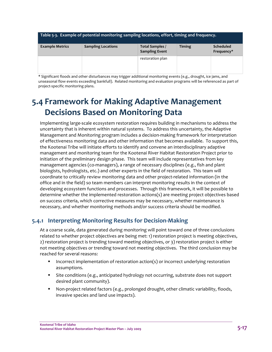| Table 5-3. Example of potential monitoring sampling locations, effort, timing and frequency. |                           |                                          |               |                                |
|----------------------------------------------------------------------------------------------|---------------------------|------------------------------------------|---------------|--------------------------------|
| <b>Example Metrics</b>                                                                       | <b>Sampling Locations</b> | Total Samples /<br><b>Sampling Event</b> | <b>Timing</b> | <b>Scheduled</b><br>Frequency* |
|                                                                                              |                           | restoration plan                         |               |                                |

\* Significant floods and other disturbances may trigger additional monitoring events (e.g., drought, ice jams, and unseasonal flow events exceeding bankfull). Related monitoring and evaluation programs will be referenced as part of project‐specific monitoring plans.

## **5.4 Framework for Making Adaptive Management Decisions Based on Monitoring Data**

Implementing large‐scale ecosystem restoration requires building in mechanisms to address the uncertainty that is inherent within natural systems. To address this uncertainty, the Adaptive Management and Monitoring program includes a decision‐making framework for interpretation of effectiveness monitoring data and other information that becomes available. To support this, the Kootenai Tribe will initiate efforts to identify and convene an interdisciplinary adaptive management and monitoring team for the Kootenai River Habitat Restoration Project prior to initiation of the preliminary design phase. This team will include representatives from key management agencies (co-managers), a range of necessary disciplines (e.g., fish and plant biologists, hydrologists, etc.) and other experts in the field of restoration. This team will coordinate to critically review monitoring data and other project‐related information (in the office and in the field) so team members can interpret monitoring results in the context of developing ecosystem functions and processes. Through this framework, it will be possible to determine whether the implemented restoration actions(s) are meeting project objectives based on success criteria, which corrective measures may be necessary, whether maintenance is necessary, and whether monitoring methods and/or success criteria should be modified.

#### **5.4.1 Interpreting Monitoring Results for Decision‐Making**

At a coarse scale, data generated during monitoring will point toward one of three conclusions related to whether project objectives are being met: 1) restoration project is meeting objectives, 2) restoration project is trending toward meeting objectives, or 3) restoration project is either not meeting objectives or trending toward not meeting objectives. The third conclusion may be reached for several reasons:

- **Incorrect implementation of restoration action(s) or incorrect underlying restoration** assumptions.
- Site conditions (e.g., anticipated hydrology not occurring, substrate does not support desired plant community).
- Non-project related factors (e.g., prolonged drought, other climatic variability, floods, invasive species and land use impacts).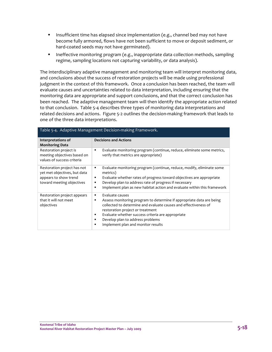- **Insufficient time has elapsed since implementation (e.g., channel bed may not have** become fully armored, flows have not been sufficient to move or deposit sediment, or hard-coated seeds may not have germinated).
- **Ineffective monitoring program (e.g., inappropriate data collection methods, sampling** regime, sampling locations not capturing variability, or data analysis).

The interdisciplinary adaptive management and monitoring team will interpret monitoring data, and conclusions about the success of restoration projects will be made using professional judgment in the context of this framework. Once a conclusion has been reached, the team will evaluate causes and uncertainties related to data interpretation, including ensuring that the monitoring data are appropriate and support conclusions, and that the correct conclusion has been reached. The adaptive management team will then identify the appropriate action related to that conclusion. Table 5‐4 describes three types of monitoring data interpretations and related decisions and actions. Figure 5‐2 outlines the decision‐making framework that leads to one of the three data interpretations.

| Table 5-4. Adaptive Management Decision-making Framework.                                                         |                                                                                                                                                                                                                                                                                                                                                                     |  |  |
|-------------------------------------------------------------------------------------------------------------------|---------------------------------------------------------------------------------------------------------------------------------------------------------------------------------------------------------------------------------------------------------------------------------------------------------------------------------------------------------------------|--|--|
| Interpretations of<br><b>Monitoring Data</b>                                                                      | <b>Decisions and Actions</b>                                                                                                                                                                                                                                                                                                                                        |  |  |
| Restoration project is<br>meeting objectives based on<br>values of success criteria                               | Evaluate monitoring program (continue, reduce, eliminate some metrics,<br>٠<br>verify that metrics are appropriate)                                                                                                                                                                                                                                                 |  |  |
| Restoration project has not<br>yet met objectives, but data<br>appears to show trend<br>toward meeting objectives | Evaluate monitoring program (continue, reduce, modify, eliminate some<br>٠<br>metrics)<br>Evaluate whether rates of progress toward objectives are appropriate<br>п<br>Develop plan to address rate of progress if necessary<br>٠<br>Implement plan as new habitat action and evaluate within this framework<br>$\blacksquare$                                      |  |  |
| Restoration project appears<br>that it will not meet<br>objectives                                                | Evaluate causes<br>٠<br>Assess monitoring program to determine if appropriate data are being<br>٠<br>collected to determine and evaluate causes and effectiveness of<br>restoration project or treatment<br>Evaluate whether success criteria are appropriate<br>٠<br>Develop plan to address problems<br>٠<br>Implement plan and monitor results<br>$\blacksquare$ |  |  |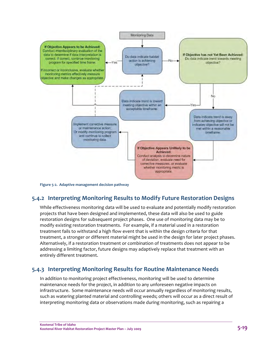

**Figure 5‐2. Adaptive management decision pathway**

#### **5.4.2 Interpreting Monitoring Results to Modify Future Restoration Designs**

While effectiveness monitoring data will be used to evaluate and potentially modify restoration projects that have been designed and implemented, these data will also be used to guide restoration designs for subsequent project phases. One use of monitoring data may be to modify existing restoration treatments. For example, if a material used in a restoration treatment fails to withstand a high flow event that is within the design criteria for that treatment, a stronger or different material might be used in the design for later project phases. Alternatively, if a restoration treatment or combination of treatments does not appear to be addressing a limiting factor, future designs may adaptively replace that treatment with an entirely different treatment.

#### **5.4.3 Interpreting Monitoring Results for Routine Maintenance Needs**

In addition to monitoring project effectiveness, monitoring will be used to determine maintenance needs for the project, in addition to any unforeseen negative impacts on infrastructure. Some maintenance needs will occur annually regardless of monitoring results, such as watering planted material and controlling weeds; others will occur as a direct result of interpreting monitoring data or observations made during monitoring, such as repairing a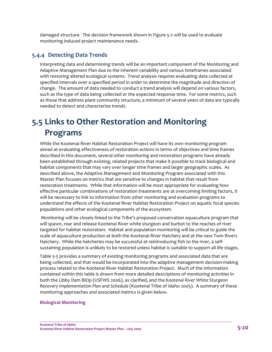damaged structure. The decision framework shown in Figure 5‐2 will be used to evaluate monitoring induced project maintenance needs.

#### **5.4.4 Detecting Data Trends**

Interpreting data and determining trends will be an important component of the Monitoring and Adaptive Management Plan due to the inherent variability and various timeframes associated with restoring altered ecological systems. Trend analysis requires evaluating data collected at specified intervals over a specified period in order to determine the magnitude and direction of change. The amount of data needed to conduct a trend analysis will depend on various factors, such as the type of data being collected or the expected response time. For some metrics, such as those that address plant community structure, a minimum of several years of data are typically needed to detect and characterize trends.

## **5.5 Links to Other Restoration and Monitoring Programs**

While the Kootenai River Habitat Restoration Project will have its own monitoring program aimed at evaluating effectiveness of restoration actions in terms of objectives and time frames described in this document, several other monitoring and restoration programs have already been established through existing, related projects that make it possible to track biological and habitat components that may vary over longer time frames and larger geographic scales. As described above, the Adaptive Management and Monitoring Program associated with this Master Plan focuses on metrics that are sensitive to changes in habitat that result from restoration treatments. While that information will be most appropriate for evaluating how effective particular combinations of restoration treatments are at overcoming limiting factors, it will be necessary to link to information from other monitoring and evaluation programs to understand the effects of the Kootenai River Habitat Restoration Project on aquatic focal species populations and other ecological components of the ecosystem.

 Monitoring will be closely linked to the Tribe's proposed conservation aquaculture program that will spawn, rear and release Kootenai River white sturgeon and burbot to the reaches of river targeted for habitat restoration. Habitat and population monitoring will be critical to guide the scale of aquaculture production at both the Kootenai River Hatchery and at the new Twin Rivers Hatchery. While the hatcheries may be successful at reintroducing fish to the river, a selfsustaining population is unlikely to be restored unless habitat is suitable to support all life stages.

Table 5‐5 provides a summary of existing monitoring programs and associated data that are being collected, and that would be incorporated into the adaptive management decision‐making process related to the Kootenai River Habitat Restoration Project. Much of the information contained within this table is drawn from more detailed descriptions of monitoring activities in both the Libby Dam BiOp (USFWS 2006), as clarified, and the *Kootenai River White Sturgeon Recovery Implementation Plan and Schedule* (Kootenai Tribe of Idaho 2005). A summary of these monitoring approaches and associated metrics is given below.

#### **Biological Monitoring**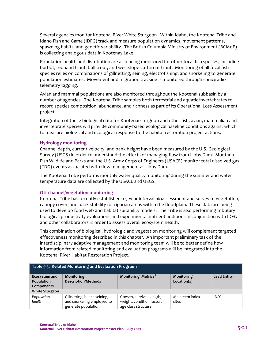Several agencies monitor Kootenai River White Sturgeon. Within Idaho, the Kootenai Tribe and Idaho Fish and Game (IDFG) track and measure population dynamics, movement patterns, spawning habits, and genetic variability. The British Columbia Ministry of Environment (BCMoE) is collecting analogous data in Kootenay Lake.

Population health and distribution are also being monitored for other focal fish species, including burbot, redband trout, bull trout, and westslope cutthroat trout. Monitoring of all focal fish species relies on combinations of gillnetting, seining, electrofishing, and snorkeling to generate population estimates. Movement and migration tracking is monitored through sonic/radio telemetry tagging.

Avian and mammal populations are also monitored throughout the Kootenai subbasin by a number of agencies. The Kootenai Tribe samples both terrestrial and aquatic invertebrates to record species composition, abundance, and richness as part of its Operational Loss Assessment project.

Integration of these biological data for Kootenai sturgeon and other fish, avian, mammalian and invertebrate species will provide community‐based ecological baseline conditions against which to measure biological and ecological response to the habitat restoration project actions.

#### **Hydrology monitoring**

Channel depth, current velocity, and bank height have been measured by the U.S. Geological Survey (USGS) in order to understand the effects of managing flow from Libby Dam. Montana Fish Wildlife and Parks and the U.S. Army Corps of Engineers (USACE) monitor total dissolved gas (TDG) events associated with flow management at Libby Dam.

The Kootenai Tribe performs monthly water quality monitoring during the summer and water temperature data are collected by the USACE and USGS.

#### **Off‐channel/vegetation monitoring**

Kootenai Tribe has recently established a 5‐year interval bioassessment and survey of vegetation, canopy cover, and bank stability for riparian areas within the floodplain. These data are being used to develop food web and habitat suitability models. The Tribe is also performing tributary biological productivity evaluations and experimental nutrient additions in conjunction with IDFG and other collaborators in order to assess overall ecosystem health.

This combination of biological, hydrologic and vegetation monitoring will complement targeted effectiveness monitoring described in this chapter. An important preliminary task of the interdisciplinary adaptive management and monitoring team will be to better define how information from related monitoring and evaluation programs will be integrated into the Kootenai River Habitat Restoration Project.

| Table 5-5. Related Monitoring and Evaluation Programs. |                                                                                  |                                                                               |                           |                    |
|--------------------------------------------------------|----------------------------------------------------------------------------------|-------------------------------------------------------------------------------|---------------------------|--------------------|
| Ecosystem and<br>Population                            | Monitoring<br><b>Description/Methods</b>                                         | Monitoring Metrics <sup>1</sup>                                               | Monitoring<br>Location(s) | <b>Lead Entity</b> |
| Components                                             |                                                                                  |                                                                               |                           |                    |
| <b>White Sturgeon</b>                                  |                                                                                  |                                                                               |                           |                    |
| Population<br>health                                   | Gillnetting, beach seining,<br>and snorkeling employed to<br>generate population | Growth, survival, length,<br>weight, condition factor,<br>age class structure | Mainstem index<br>sites   | <b>IDFG</b>        |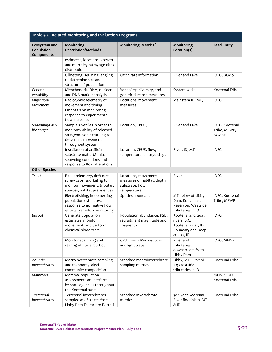| Table 5-5. Related Monitoring and Evaluation Programs. |                                                                                                                                         |                                                                                       |                                                                                             |                                                |
|--------------------------------------------------------|-----------------------------------------------------------------------------------------------------------------------------------------|---------------------------------------------------------------------------------------|---------------------------------------------------------------------------------------------|------------------------------------------------|
| Ecosystem and<br>Population<br>Components              | Monitoring<br><b>Description/Methods</b>                                                                                                | Monitoring Metrics <sup>1</sup>                                                       | Monitoring<br>Location(s)                                                                   | <b>Lead Entity</b>                             |
|                                                        | estimates, locations, growth<br>and mortality rates, age-class<br>distribution                                                          |                                                                                       |                                                                                             |                                                |
|                                                        | Gillnetting, setlining, angling<br>to determine size and<br>structure of population                                                     | Catch rate information                                                                | River and Lake                                                                              | IDFG, BCMOE                                    |
| Genetic<br>variability                                 | Mitochondrial DNA, nuclear,<br>and DNA marker analysis                                                                                  | Variability, diversity, and<br>genetic distance measures                              | System-wide                                                                                 | Kootenai Tribe                                 |
| Migration/<br>Movement                                 | Radio/Sonic telemetry of<br>movement and timing.<br>Emphasis on monitoring<br>response to experimental<br>flow increases                | Locations, movement<br>measures                                                       | Mainstem ID, MT,<br>B.C.                                                                    | <b>IDFG</b>                                    |
| Spawning/Early<br>life stages                          | Sample juveniles in order to<br>monitor viability of released<br>sturgeon. Sonic tracking to<br>determine movement<br>throughout system | Location, CPUE,                                                                       | River and Lake                                                                              | IDFG, Kootenai<br>Tribe, MFWP,<br><b>BCMoE</b> |
|                                                        | Installation of artificial<br>substrate mats. Monitor<br>spawning conditions and<br>response to flow alterations                        | Location, CPUE, flow,<br>temperature, embryo stage                                    | River, ID, MT                                                                               | <b>IDFG</b>                                    |
| <b>Other Species</b>                                   |                                                                                                                                         |                                                                                       |                                                                                             |                                                |
| Trout                                                  | Radio telemetry, drift nets,<br>screw caps, snorkeling to<br>monitor movement, tributary<br>sources, habitat preferences                | Locations, movement<br>measures of habitat, depth,<br>substrate, flow,<br>temperature | River                                                                                       | <b>IDFG</b>                                    |
|                                                        | Electrofishing, hoop netting<br>population estimates,<br>response to normative flow<br>efforts, gamefish monitoring                     | Species abundance                                                                     | MT below of Libby<br>Dam, Koocanusa<br>Reservoir; Westside<br>tributaries in ID             | IDFG, Kootenai<br>Tribe, MFWP                  |
| Burbot                                                 | Generate population<br>estimates, monitor<br>movement, and perform<br>chemical blood tests                                              | Population abundance, PSD,<br>recruitment magnitude and<br>frequency                  | Kootenai and Goat<br>rivers, B.C.<br>Kootenai River, ID,<br>Boundary and Deep<br>creeks, ID | <b>IDFG</b>                                    |
|                                                        | Monitor spawning and<br>rearing of fluvial burbot                                                                                       | CPUE, with 1/2m net tows<br>and light traps                                           | River and<br>tributaries,<br>downstream from<br>Libby Dam                                   | IDFG, MFWP                                     |
| Aquatic<br><b>Invertebrates</b>                        | Macroinvertebrate sampling<br>and taxonomy, algal<br>community composition                                                              | Standard macroinvertebrate<br>sampling metrics                                        | Libby, MT - Porthill,<br>ID; Westside<br>tributaries in ID                                  | Kootenai Tribe                                 |
| Mammals                                                | Mammal population<br>assessments are performed<br>by state agencies throughout<br>the Kootenai basin                                    |                                                                                       |                                                                                             | MFWP, IDFG,<br>Kootenai Tribe                  |
| Terrestrial<br>Invertebrates                           | Terrestrial invertebrates<br>sampled at ~60 sites from<br>Libby Dam Tailrace to Porthill                                                | Standard invertebrate<br>metrics                                                      | 500-year Kootenai<br>River floodplain, MT<br>& ID                                           | Kootenai Tribe                                 |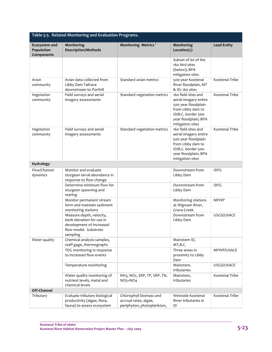| Table 5-5. Related Monitoring and Evaluation Programs. |                                                                                                                        |                                                                                |                                                                                                                                                             |                    |
|--------------------------------------------------------|------------------------------------------------------------------------------------------------------------------------|--------------------------------------------------------------------------------|-------------------------------------------------------------------------------------------------------------------------------------------------------------|--------------------|
| <b>Ecosystem and</b><br>Population<br>Components       | Monitoring<br><b>Description/Methods</b>                                                                               | Monitoring Metrics <sup>1</sup>                                                | Monitoring<br>Location(s)                                                                                                                                   | <b>Lead Entity</b> |
|                                                        |                                                                                                                        |                                                                                | Subset of 60 of the<br>160 bird sites<br>(below); BPA<br>mitigation sites                                                                                   |                    |
| Avian<br>community                                     | Avian data collected from<br>Libby Dam Tailrace<br>downstream to Porthill                                              | Standard avian metrics                                                         | 500-year Kootenai<br>River floodplain, MT<br>& ID; 160 sites                                                                                                | Kootenai Tribe     |
| Vegetation<br>community                                | Field surveys and aerial<br>imagery assessments                                                                        | Standard vegetation metrics                                                    | 160 field sites and<br>aerial imagery entire<br>500 year floodplain<br>from Libby dam to<br>ID/B.C. border 500-<br>year floodplain; BPA<br>mitigation sites | Kootenai Tribe     |
| Vegetation<br>community                                | Field surveys and aerial<br>imagery assessments                                                                        | Standard vegetation metrics                                                    | 160 field sites and<br>aerial imagery entire<br>500 year floodplain<br>from Libby dam to<br>ID/B.C. border 500-<br>year floodplain; BPA<br>mitigation sites | Kootenai Tribe     |
| Hydrology                                              |                                                                                                                        |                                                                                |                                                                                                                                                             |                    |
| Flow/Channel                                           | Monitor and evaluate                                                                                                   |                                                                                | Downstream from                                                                                                                                             | <b>IDFG</b>        |
| dynamics                                               | sturgeon larval abundance in<br>response to flow change                                                                |                                                                                | Libby Dam                                                                                                                                                   |                    |
|                                                        | Determine minimum flow for<br>sturgeon spawning and<br>rearing                                                         |                                                                                | Downstream from<br>Libby Dam                                                                                                                                | <b>IDFG</b>        |
|                                                        | Monitor permanent stream<br>form and maintain sediment<br>monitoring stations                                          |                                                                                | Monitoring stations<br>at Wigwam River,<br><b>Grave Creek</b>                                                                                               | <b>MFWP</b>        |
|                                                        | Measure depth, velocity,<br>bank elevation for use in<br>development of Increased<br>flow model. Substrate<br>sampling |                                                                                | Downstream from<br>Libby Dam                                                                                                                                | USGS/USACE         |
| Water quality                                          | Chemical analysis samples,<br>staff gage, thermographs                                                                 |                                                                                | Mainstem ID,<br>MT,B.C.                                                                                                                                     |                    |
|                                                        | TDG monitoring in response<br>to increased flow events                                                                 |                                                                                | Three areas in<br>proximity to Libby<br>Dam                                                                                                                 | MFWP/USACE         |
|                                                        | Temperature monitoring                                                                                                 |                                                                                | Mainstem,<br>tributaries                                                                                                                                    | USGS/USACE         |
|                                                        | Water quality monitoring of<br>nutrient levels, metal and<br>chemical levels                                           | NH3, NO2, SRP, TP, SRP, TN,<br>$NO3+NO4$                                       | Mainstem,<br>tributaries                                                                                                                                    | Kootenai Tribe     |
| Off-Channel                                            |                                                                                                                        |                                                                                |                                                                                                                                                             |                    |
| Tributary                                              | Evaluate tributary biological<br>productivity (algae, flora,<br>fauna) to assess ecosystem                             | Chlorophyll biomass and<br>accrual rates, algae,<br>periphyton, phytoplankton, | Westside Kootenai<br>River tributaries in<br>ID                                                                                                             | Kootenai Tribe     |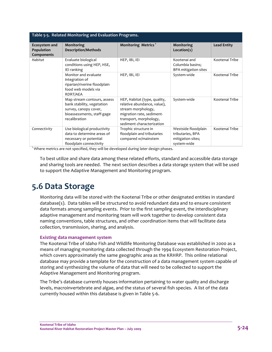| Table 5-5. Related Monitoring and Evaluation Programs. |                                                                                                                                   |                                                                                                                                                                       |                                                                             |                    |
|--------------------------------------------------------|-----------------------------------------------------------------------------------------------------------------------------------|-----------------------------------------------------------------------------------------------------------------------------------------------------------------------|-----------------------------------------------------------------------------|--------------------|
| Ecosystem and<br>Population<br>Components              | Monitoring<br><b>Description/Methods</b>                                                                                          | Monitoring Metrics <sup>1</sup>                                                                                                                                       | Monitoring<br>Location(s)                                                   | <b>Lead Entity</b> |
| Habitat                                                | Evaluate biological<br>conditions using HEP, HSE,<br>IEI ranking                                                                  | HEP, IBI, IEI                                                                                                                                                         | Kootenai and<br>Columbia basins;<br><b>BPA mitigation sites</b>             | Kootenai Tribe     |
|                                                        | Monitor and evaluate<br>integration of<br>riparian/riverine floodplain<br>food web models via<br>RDRT/AEA                         | HEP, IBI, IEI                                                                                                                                                         | System-wide                                                                 | Kootenai Tribe     |
|                                                        | Map stream contours, assess<br>bank stability, vegetation<br>survey, canopy cover,<br>bioassessments, staff-gage<br>recalibration | HEP, Habitat (type, quality,<br>relative abundance, value),<br>stream morphology,<br>migration rate, sediment-<br>transport, morphology,<br>sediment characterization | System-wide                                                                 | Kootenai Tribe     |
| Connectivity                                           | Use biological productivity<br>data to determine areas of<br>necessary or potential<br>floodplain connectivity                    | Trophic structure in<br>floodplain and tributaries<br>compared w/mainstem                                                                                             | Westside floodplain<br>tributaries, BPA<br>mitigation sites;<br>system-wide | Kootenai Tribe     |

<sup>1</sup> Where metrics are not specified, they will be developed during later design phases.

To best utilize and share data among these related efforts, standard and accessible data storage and sharing tools are needed. The next section describes a data storage system that will be used to support the Adaptive Management and Monitoring program.

## **5.6 Data Storage**

Monitoring data will be stored with the Kootenai Tribe or other designated entities in standard database(s). Data tables will be structured to avoid redundant data and to ensure consistent data formats among sampling events. Prior to the first sampling event, the interdisciplinary adaptive management and monitoring team will work together to develop consistent data naming conventions, table structures, and other coordination items that will facilitate data collection, transmission, sharing, and analysis.

#### **Existing data management system**

The Kootenai Tribe of Idaho Fish and Wildlife Monitoring Database was established in 2000 as a means of managing monitoring data collected through the 1994 Ecosystem Restoration Project, which covers approximately the same geographic area as the KRHRP. This online relational database may provide a template for the construction of a data management system capable of storing and synthesizing the volume of data that will need to be collected to support the Adaptive Management and Monitoring program.

The Tribe's database currently houses information pertaining to water quality and discharge levels, macroinvertebrate and algae, and the status of several fish species. A list of the data currently housed within this database is given in Table 5‐6.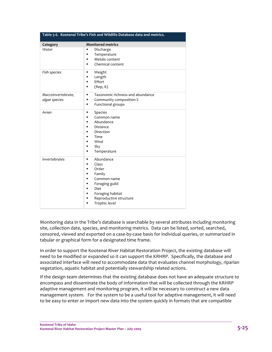| Table 5-6. Kootenai Tribe's Fish and Wildlife Database data and metrics. |                                                                                                                                                                                                                                                                  |  |  |
|--------------------------------------------------------------------------|------------------------------------------------------------------------------------------------------------------------------------------------------------------------------------------------------------------------------------------------------------------|--|--|
| Category                                                                 | <b>Monitored metrics</b>                                                                                                                                                                                                                                         |  |  |
| Water                                                                    | Discharge<br>$\blacksquare$<br>Temperature<br>$\blacksquare$<br>Metals content<br>$\blacksquare$<br>Chemical content<br>٠                                                                                                                                        |  |  |
| Fish species                                                             | Weight<br>$\blacksquare$<br>Length<br>$\blacksquare$<br>Effort<br>$\blacksquare$<br>(Rep, K)<br>Е                                                                                                                                                                |  |  |
| Macroinvertebrate,<br>algae species                                      | Taxonomic richness and abundance<br>$\blacksquare$<br>Community composition %<br>$\blacksquare$<br>Functional groups<br>$\blacksquare$                                                                                                                           |  |  |
| Avian                                                                    | Species<br>П<br>Common name<br>$\blacksquare$<br>Abundance<br>$\blacksquare$<br>Distance<br>Direction<br>٠<br>Time<br>$\blacksquare$<br>Wind<br>$\blacksquare$<br>Sky<br>$\blacksquare$<br>Temperature<br>$\blacksquare$                                         |  |  |
| Invertebrates                                                            | Abundance<br>$\blacksquare$<br>Class<br>$\blacksquare$<br>Order<br>$\blacksquare$<br>Family<br>Е<br>Common name<br>п<br>Foraging guild<br>$\blacksquare$<br>Diet<br>٠<br>Foraging habitat<br>٠<br>Reproductive structure<br>٠<br>Trophic level<br>$\blacksquare$ |  |  |

Monitoring data in the Tribe's database is searchable by several attributes including monitoring site, collection date, species, and monitoring metrics. Data can be listed, sorted, searched, censored, viewed and exported on a case‐by‐case basis for individual queries, or summarized in tabular or graphical form for a designated time frame.

In order to support the Kootenai River Habitat Restoration Project, the existing database will need to be modified or expanded so it can support the KRHRP. Specifically, the database and associated interface will need to accommodate data that evaluates channel morphology, riparian vegetation, aquatic habitat and potentially stewardship related actions.

If the design team determines that the existing database does not have an adequate structure to encompass and disseminate the body of information that will be collected through the KRHRP adaptive management and monitoring program, it will be necessary to construct a new data management system. For the system to be a useful tool for adaptive management, it will need to be easy to enter or import new data into the system quickly in formats that are compatible